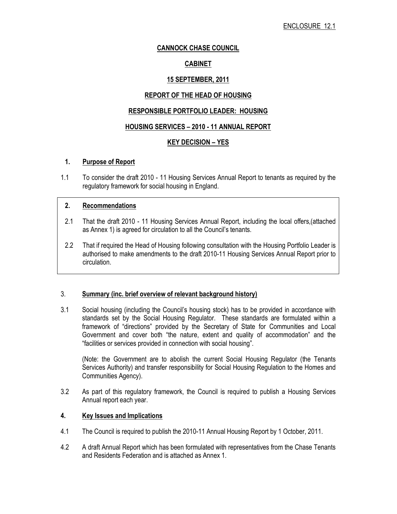# CANNOCK CHASE COUNCIL

# CABINET

# 15 SEPTEMBER, 2011

# REPORT OF THE HEAD OF HOUSING

# RESPONSIBLE PORTFOLIO LEADER: HOUSING

## HOUSING SERVICES – 2010 - 11 ANNUAL REPORT

# KEY DECISION – YES

## 1. Purpose of Report

1.1 To consider the draft 2010 - 11 Housing Services Annual Report to tenants as required by the regulatory framework for social housing in England.

#### 2. Recommendations

- 2.1 That the draft 2010 11 Housing Services Annual Report, including the local offers,(attached as Annex 1) is agreed for circulation to all the Council's tenants.
- 2.2 That if required the Head of Housing following consultation with the Housing Portfolio Leader is authorised to make amendments to the draft 2010-11 Housing Services Annual Report prior to circulation.

## 3. Summary (inc. brief overview of relevant background history)

3.1 Social housing (including the Council's housing stock) has to be provided in accordance with standards set by the Social Housing Regulator. These standards are formulated within a framework of "directions" provided by the Secretary of State for Communities and Local Government and cover both "the nature, extent and quality of accommodation" and the "facilities or services provided in connection with social housing".

 (Note: the Government are to abolish the current Social Housing Regulator (the Tenants Services Authority) and transfer responsibility for Social Housing Regulation to the Homes and Communities Agency).

3.2 As part of this regulatory framework, the Council is required to publish a Housing Services Annual report each year.

## 4. Key Issues and Implications

- 4.1 The Council is required to publish the 2010-11 Annual Housing Report by 1 October, 2011.
- 4.2 A draft Annual Report which has been formulated with representatives from the Chase Tenants and Residents Federation and is attached as Annex 1.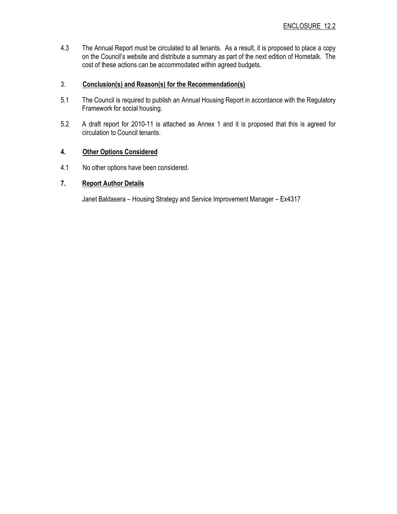4.3 The Annual Report must be circulated to all tenants. As a result, it is proposed to place a copy on the Council's website and distribute a summary as part of the next edition of Hometalk. The cost of these actions can be accommodated within agreed budgets.

#### 3. Conclusion(s) and Reason(s) for the Recommendation(s)

- 5.1 The Council is required to publish an Annual Housing Report in accordance with the Regulatory Framework for social housing.
- 5.2 A draft report for 2010-11 is attached as Annex 1 and it is proposed that this is agreed for circulation to Council tenants.

#### 4. Other Options Considered

4.1 No other options have been considered.

# 7. Report Author Details

Janet Baldasera – Housing Strategy and Service Improvement Manager – Ex4317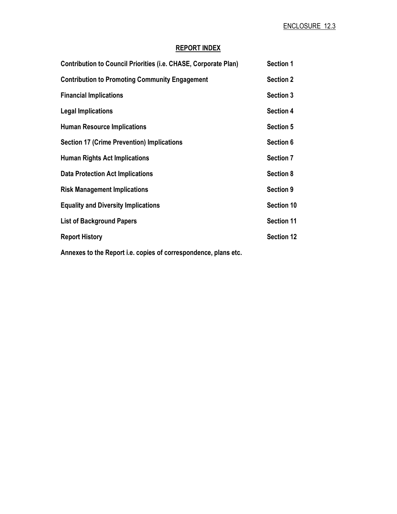# REPORT INDEX

| <b>Contribution to Council Priorities (i.e. CHASE, Corporate Plan)</b> | <b>Section 1</b>  |
|------------------------------------------------------------------------|-------------------|
| <b>Contribution to Promoting Community Engagement</b>                  | <b>Section 2</b>  |
| <b>Financial Implications</b>                                          | <b>Section 3</b>  |
| <b>Legal Implications</b>                                              | <b>Section 4</b>  |
| <b>Human Resource Implications</b>                                     | <b>Section 5</b>  |
| <b>Section 17 (Crime Prevention) Implications</b>                      | Section 6         |
| <b>Human Rights Act Implications</b>                                   | <b>Section 7</b>  |
| <b>Data Protection Act Implications</b>                                | <b>Section 8</b>  |
| <b>Risk Management Implications</b>                                    | <b>Section 9</b>  |
| <b>Equality and Diversity Implications</b>                             | Section 10        |
| <b>List of Background Papers</b>                                       | <b>Section 11</b> |
| <b>Report History</b>                                                  | <b>Section 12</b> |
|                                                                        |                   |

Annexes to the Report i.e. copies of correspondence, plans etc.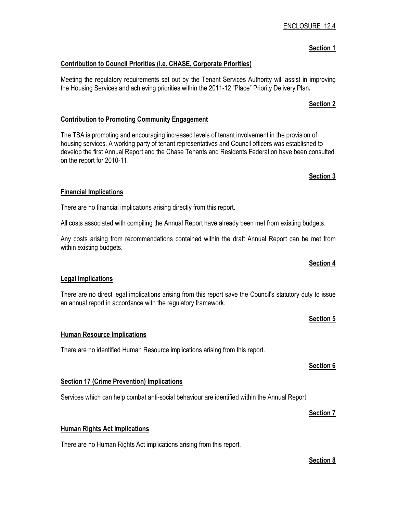# ENCLOSURE 12.4

## Section 1

# Contribution to Council Priorities (i.e. CHASE, Corporate Priorities)

Meeting the regulatory requirements set out by the Tenant Services Authority will assist in improving the Housing Services and achieving priorities within the 2011-12 "Place" Priority Delivery Plan.

## Contribution to Promoting Community Engagement

The TSA is promoting and encouraging increased levels of tenant involvement in the provision of housing services. A working party of tenant representatives and Council officers was established to develop the first Annual Report and the Chase Tenants and Residents Federation have been consulted on the report for 2010-11.

## Financial Implications

There are no financial implications arising directly from this report.

All costs associated with compiling the Annual Report have already been met from existing budgets.

Any costs arising from recommendations contained within the draft Annual Report can be met from within existing budgets.

## Legal Implications

There are no direct legal implications arising from this report save the Council's statutory duty to issue an annual report in accordance with the regulatory framework.

## Human Resource Implications

There are no identified Human Resource implications arising from this report.

## **Section 17 (Crime Prevention) Implications**

Services which can help combat anti-social behaviour are identified within the Annual Report

#### Human Rights Act Implications

There are no Human Rights Act implications arising from this report.

# Section 2

# Section 3

## Section 5

Section 4

Section 6

#### Section 7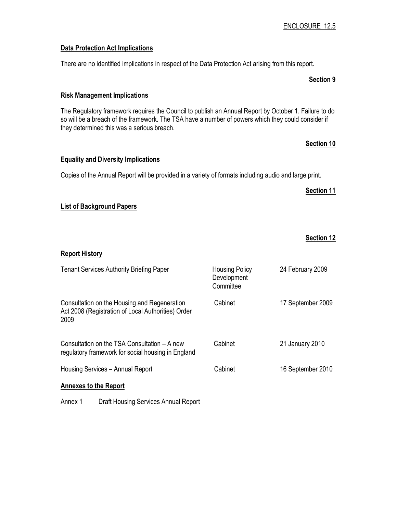#### Data Protection Act Implications

There are no identified implications in respect of the Data Protection Act arising from this report.

# Risk Management Implications

The Regulatory framework requires the Council to publish an Annual Report by October 1. Failure to do so will be a breach of the framework. The TSA have a number of powers which they could consider if they determined this was a serious breach.

# Section 10

Section 9

#### Equality and Diversity Implications

Copies of the Annual Report will be provided in a variety of formats including audio and large print.

#### Section 11

## List of Background Papers

|                                                                                                            |                                                   | <b>Section 12</b> |
|------------------------------------------------------------------------------------------------------------|---------------------------------------------------|-------------------|
| <b>Report History</b>                                                                                      |                                                   |                   |
| <b>Tenant Services Authority Briefing Paper</b>                                                            | <b>Housing Policy</b><br>Development<br>Committee | 24 February 2009  |
| Consultation on the Housing and Regeneration<br>Act 2008 (Registration of Local Authorities) Order<br>2009 | Cabinet                                           | 17 September 2009 |
| Consultation on the TSA Consultation – A new<br>regulatory framework for social housing in England         | Cabinet                                           | 21 January 2010   |
| Housing Services - Annual Report                                                                           | Cabinet                                           | 16 September 2010 |
| <b>Annexes to the Report</b>                                                                               |                                                   |                   |
| Annex 1<br>Draft Housing Services Annual Report                                                            |                                                   |                   |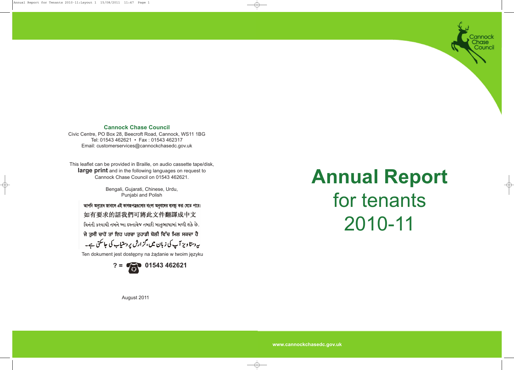**www.cannockchasedc.gov.uk**

**Annual Report** for tenants 2010-11

annock nase Counci

This leaflet can be provided in Braille, on audio cassette tape/disk, **large print** and in the following languages on request to Cannock Chase Council on 01543 462621.

> Bengali, Gujarati, Chinese, Urdu, Punjabi and Polish

আপনি অনুরোধ জানালে এই কাগজপত্রগুলোর বাংলা অনুবাদের ব্যবস্থা করা যেতে পারে।

如有要求的話我們可將此文件翻譯成中文

લિનંતી કરવાથી તમને આ દસ્તાવેજ તમારી માતૃભાષામાં મળી શકે છે.

ਜੇ ਤੁਸੀਂ ਚਾਹੋਂ ਤਾਂ ਇਹ ਪਰਚਾ ਤੁਹਾਡੀ ਬੋਲੀ ਵਿੱਚ ਮਿਲ ਸਕਦਾ ਹੈ

یہ دستا ویز آپ کی زبان میں *،گز*ارش پر دستیاب کی جاسکتی ہے۔

Ten dokument jest dostępny na żądanie w twoim języku



# **Cannock Chase Council**

Civic Centre, PO Box 28, Beecroft Road, Cannock, WS11 1BG Tel: 01543 462621 • Fax : 01543 462317 Email: customerservices@cannockchasedc.gov.uk

August 2011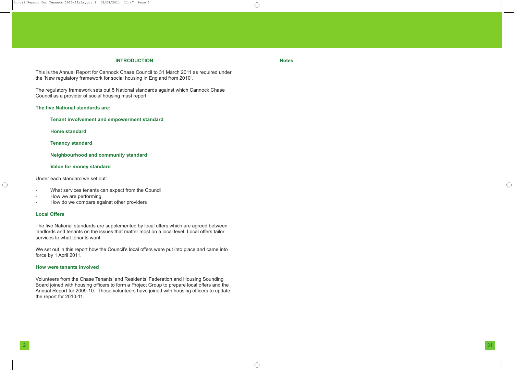# **INTRODUCTION**

This is the Annual Report for Cannock Chase Council to 31 March 2011 as required under the 'New regulatory framework for social housing in England from 2010'.

The regulatory framework sets out 5 National standards against which Cannock Chase Council as a provider of social housing must report.

# **The five National standards are:**

**Tenant involvement and empowerment standard**

**Home standard**

**Tenancy standard**

### **Neighbourhood and community standard**

#### **Value for money standard**

Under each standard we set out:

- What services tenants can expect from the Council
- How we are performing
- How do we compare against other providers

# **Local Offers**

The five National standards are supplemented by local offers which are agreed between landlords and tenants on the issues that matter most on a local level. Local offers tailor services to what tenants want.

We set out in this report how the Council's local offers were put into place and came into force by 1 April 2011.

#### **How were tenants involved**

Volunteers from the Chase Tenants' and Residents' Federation and Housing Sounding Board joined with housing officers to form a Project Group to prepare local offers and the Annual Report for 2009-10. Those volunteers have joined with housing officers to update the report for 2010-11.

<u>2</u> 31

**Notes**

Annual Report for Tenants 2010-11:Layout 1 15/08/2011 11:47 Page 2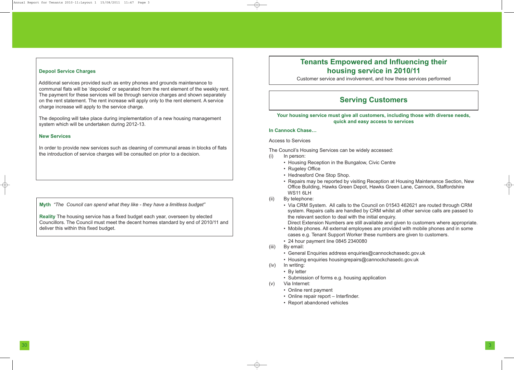# **Tenants Empowered and Influencing their housing service in 2010/11**

Customer service and involvement, and how these services performed

# **Serving Customers**

**Your housing service must give all customers, including those with diverse needs, quick and easy access to services**

# **In Cannock Chase…**

# Access to Services

The Council's Housing Services can be widely accessed: (i) In person:

> • Repairs may be reported by visiting Reception at Housing Maintenance Section, New Office Building, Hawks Green Depot, Hawks Green Lane, Cannock, Staffordshire

> • Via CRM System. All calls to the Council on 01543 462621 are routed through CRM system. Repairs calls are handled by CRM whilst all other service calls are passed to

- Housing Reception in the Bungalow, Civic Centre
- Rugeley Office
- Hednesford One Stop Shop.
- WS11 6LH
- (ii) By telephone:
	- the relevant section to deal with the initial enquiry.
	- cases e.g. Tenant Support Worker these numbers are given to customers.
	- 24 hour payment line 0845 2340080
- (iii) By email:
	- General Enquiries address enquiries@cannockchasedc.gov.uk
	- Housing enquiries housingrepairs@cannockchasedc.gov.uk
- (iv) In writing:
	- By letter

Direct Extension Numbers are still available and given to customers where appropriate. • Mobile phones. All external employees are provided with mobile phones and in some

In order to provide new services such as cleaning of communal areas in blocks of flats the introduction of service charges will be consulted on prior to a decision.

> • Submission of forms e.g. housing application (v) Via Internet:

- 
- Online rent payment
- Online repair report Interfinder.
- Report abandoned vehicles

## **Depool Service Charges**

Additional services provided such as entry phones and grounds maintenance to communal flats will be 'depooled' or separated from the rent element of the weekly rent. The payment for these services will be through service charges and shown separately on the rent statement. The rent increase will apply only to the rent element. A service charge increase will apply to the service charge.

The depooling will take place during implementation of a new housing management system which will be undertaken during 2012-13.

#### **New Services**

**Myth** *"The Council can spend what they like - they have a limitless budget"*

**Reality** The housing service has a fixed budget each year, overseen by elected Councillors. The Council must meet the decent homes standard by end of 2010/11 and deliver this within this fixed budget.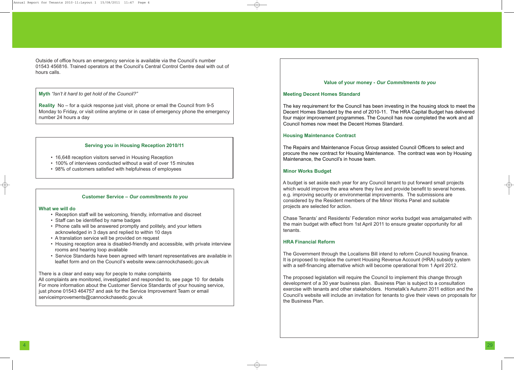Outside of office hours an emergency service is available via the Council's number 01543 456816. Trained operators at the Council's Central Control Centre deal with out of hours calls.

**Myth** *"Isn't it hard to get hold of the Council?"*

**Reality** No – for a quick response just visit, phone or email the Council from 9-5 Monday to Friday, or visit online anytime or in case of emergency phone the emergency number 24 hours a day

#### **Serving you in Housing Reception 2010/11**

- 16,648 reception visitors served in Housing Reception
- 100% of interviews conducted without a wait of over 15 minutes
- 98% of customers satisfied with helpfulness of employees

# **Customer Service –** *Our commitments to you*

#### **What we will do**

- Reception staff will be welcoming, friendly, informative and discreet
- Staff can be identified by name badges
- Phone calls will be answered promptly and politely, and your letters acknowledged in 3 days and replied to within 10 days
- A translation service will be provided on request
- Housing reception area is disabled-friendly and accessible, with private interview rooms and hearing loop available
- Service Standards have been agreed with tenant representatives are available in leaflet form and on the Council's website www.cannockchasedc.gov.uk

There is a clear and easy way for people to make complaints All complaints are monitored, investigated and responded to, see page 10 for details For more information about the Customer Service Standards of your housing service, just phone 01543 464757 and ask for the Service Improvement Team or email serviceimprovements@cannockchasedc.gov.uk

# **Value of your money -** *Our Commitments to you*

#### **Meeting Decent Homes Standard**

The key requirement for the Council has been investing in the housing stock to meet the Decent Homes Standard by the end of 2010-11. The HRA Capital Budget has delivered four major improvement programmes. The Council has now completed the work and all Council homes now meet the Decent Homes Standard.

#### **Housing Maintenance Contract**

The Repairs and Maintenance Focus Group assisted Council Officers to select and procure the new contract for Housing Maintenance. The contract was won by Housing Maintenance, the Council's in house team.

#### **Minor Works Budget**

A budget is set aside each year for any Council tenant to put forward small projects which would improve the area where they live and provide benefit to several homes. e.g. improving security or environmental improvements. The submissions are considered by the Resident members of the Minor Works Panel and suitable projects are selected for action.

Chase Tenants' and Residents' Federation minor works budget was amalgamated with the main budget with effect from 1st April 2011 to ensure greater opportunity for all tenants.

# **HRA Financial Reform**

The Government through the Localisms Bill intend to reform Council housing finance. It is proposed to replace the current Housing Revenue Account (HRA) subsidy system with a self-financing alternative which will become operational from 1 April 2012.

The proposed legislation will require the Council to implement this change through development of a 30 year business plan. Business Plan is subject to a consultation exercise with tenants and other stakeholders. Hometalk's Autumn 2011 edition and the Council's website will include an invitation for tenants to give their views on proposals for the Business Plan.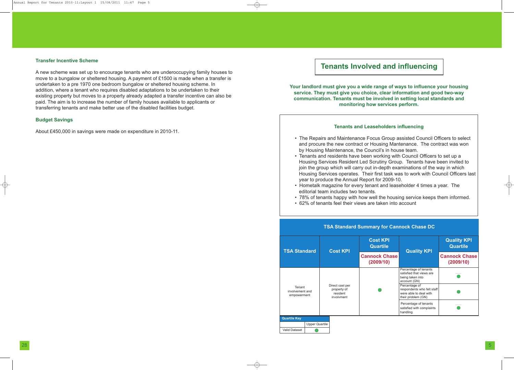# **Tenants Involved and influencing**

**Your landlord must give you a wide range of ways to influence your housing service. They must give you choice, clear information and good two-way communication. Tenants must be involved in setting local standards and monitoring how services perform.**

# **Tenants and Leaseholders influencing**

- The Repairs and Maintenance Focus Group assisted Council Officers to select and procure the new contract or Housing Mantenance. The contract was won by Housing Maintenance, the Council's in house team.
- Tenants and residents have been working with Council Officers to set up a Housing Services Resident Led Scrutiny Group. Tenants have been invited to join the group which will carry out in-depth examinations of the way in which Housing Services operates. Their first task was to work with Council Officers last year to produce the Annual Report for 2009-10.
- Hometalk magazine for every tenant and leaseholder 4 times a year. The editorial team includes two tenants.
- 78% of tenants happy with how well the housing service keeps them informed. • 62% of tenants feel their views are taken into account
- 



#### **Transfer Incentive Scheme**

A new scheme was set up to encourage tenants who are underoccupying family houses to move to a bungalow or sheltered housing. A payment of £1500 is made when a transfer is undertaken to a pre 1970 one bedroom bungalow or sheltered housing scheme. In addition, where a tenant who requires disabled adaptations to be undertaken to their existing property but moves to a property already adapted a transfer incentive can also be paid. The aim is to increase the number of family houses available to applicants or transferring tenants and make better use of the disabled facilities budget.

#### **Budget Savings**

About £450,000 in savings were made on expenditure in 2010-11.

| <b>Cost KPI</b><br><b>Quartile</b> | <b>Quality KPI</b>                                                                          | <b>Quality KPI</b><br><b>Quartile</b> |  |  |
|------------------------------------|---------------------------------------------------------------------------------------------|---------------------------------------|--|--|
| <b>nock Chase</b><br>(2009/10)     |                                                                                             | <b>Cannock Chase</b><br>(2009/10)     |  |  |
|                                    | Percentage of tenants<br>satisfied that views are<br>being taken into<br>account (GN)       |                                       |  |  |
|                                    | Percentage of<br>respondents who felt staff<br>were able to deal with<br>their problem (GN) |                                       |  |  |
|                                    | Percentage of tenants<br>satisfied with complaints<br>handling                              |                                       |  |  |

# **TSA Standard Summary for Cannock Chase DC**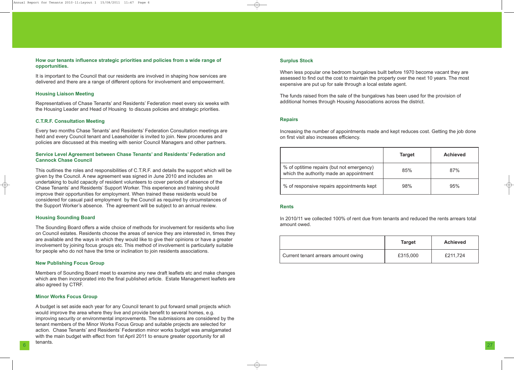## **How our tenants influence strategic priorities and policies from a wide range of opportunities.**

It is important to the Council that our residents are involved in shaping how services are delivered and there are a range of different options for involvement and empowerment.

## **Housing Liaison Meeting**

Representatives of Chase Tenants' and Residents' Federation meet every six weeks with the Housing Leader and Head of Housing to discuss policies and strategic priorities.

## **C.T.R.F. Consultation Meeting**

Every two months Chase Tenants' and Residents' Federation Consultation meetings are held and every Council tenant and Leaseholder is invited to join. New procedures and policies are discussed at this meeting with senior Council Managers and other partners.

## **Service Level Agreement between Chase Tenants' and Residents' Federation and Cannock Chase Council**

This outlines the roles and responsibilities of C.T.R.F. and details the support which will be given by the Council. A new agreement was signed in June 2010 and includes an undertaking to build capacity of resident volunteers to cover periods of absence of the Chase Tenants' and Residents' Support Worker. This experience and training should improve their opportunities for employment. When trained these residents would be considered for casual paid employment by the Council as required by circumstances of the Support Worker's absence. The agreement will be subject to an annual review.

 $6<sup>27</sup>$ A budget is set aside each year for any Council tenant to put forward small projects which would improve the area where they live and provide benefit to several homes, e.g. improving security or environmental improvements. The submissions are considered by the tenant members of the Minor Works Focus Group and suitable projects are selected for action. Chase Tenants' and Residents' Federation minor works budget was amalgamated with the main budget with effect from 1st April 2011 to ensure greater opportunity for all tenants.

#### **Housing Sounding Board**

% of optitime repairs (but not emergency) which the authority made an appointment

% of responsive repairs appointments  $k$ 

The Sounding Board offers a wide choice of methods for involvement for residents who live on Council estates. Residents choose the areas of service they are interested in, times they are available and the ways in which they would like to give their opinions or have a greater involvement by joining focus groups etc. This method of involvement is particularly suitable for people who do not have the time or inclination to join residents associations.

#### **New Publishing Focus Group**

Members of Sounding Board meet to examine any new draft leaflets etc and make changes which are then incorporated into the final published article. Estate Management leaflets are also agreed by CTRF.

#### **Minor Works Focus Group**

#### **Surplus Stock**

When less popular one bedroom bungalows built before 1970 become vacant they are assessed to find out the cost to maintain the property over the next 10 years. The most expensive are put up for sale through a local estate agent.

The funds raised from the sale of the bungalows has been used for the provision of additional homes through Housing Associations across the district.

#### **Repairs**

Increasing the number of appointments made and kept reduces cost. Getting the job done on first visit also increases efficiency.

#### **Rents**

In 2010/11 we collected 100% of rent due from tenants and reduced the rents arrears total amount owed.

Current tenant arrears amount owing

|          | <b>Target</b> | <b>Achieved</b> |
|----------|---------------|-----------------|
| y)<br>nt | 85%           | 87%             |
| ept      | 98%           | 95%             |

| <b>Target</b> | <b>Achieved</b> |
|---------------|-----------------|
| £315,000      | £211,724        |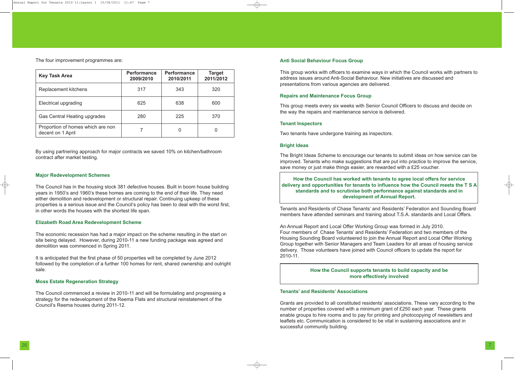#### **Anti Social Behaviour Focus Group**

This group works with officers to examine ways in which the Council works with partners to address issues around Anti-Social Behaviour. New initiatives are discussed and presentations from various agencies are delivered.

### **Repairs and Maintenance Focus Group**

This group meets every six weeks with Senior Council Officers to discuss and decide on the way the repairs and maintenance service is delivered.

#### **Tenant Inspectors**

Two tenants have undergone training as inspectors.

#### **Bright Ideas**

The Bright Ideas Scheme to encourage our tenants to submit ideas on how service can be improved. Tenants who make suggestions that are put into practice to improve the service, save money or just make things easier, are rewarded with a £25 voucher.

**How the Council has worked with tenants to agree local offers for service delivery and opportunities for tenants to influence how the Council meets the T S A standards and to scrutinise both performance against standards and in development of Annual Report.**

Tenants and Residents of Chase Tenants' and Residents' Federation and Sounding Board members have attended seminars and training about T.S.A. standards and Local Offers.

An Annual Report and Local Offer Working Group was formed in July 2010. Four members of Chase Tenants' and Residents' Federation and two members of the Housing Sounding Board volunteered to join the Annual Report and Local Offer Working Group together with Senior Managers and Team Leaders for all areas of housing service delivery. Those volunteers have joined with Council officers to update the report for 2010-11.

# **Tenants' and Residents' Associations**

Grants are provided to all constituted residents' associations. These vary according to the number of properties covered with a minimum grant of £250 each year. These grants enable groups to hire rooms and to pay for printing and photocopying of newsletters and leaflets etc. Communication is considered to be vital in sustaining associations and in successful community building.

The four improvement programmes are:

| <b>Key Task Area</b>                                   | <b>Performance</b><br>2009/2010 | <b>Performance</b><br>2010/2011 | <b>Target</b><br>2011/2012 |
|--------------------------------------------------------|---------------------------------|---------------------------------|----------------------------|
| Replacement kitchens                                   | 317                             | 343                             | 320                        |
| <b>Electrical upgrading</b>                            | 625                             | 638                             | 600                        |
| <b>Gas Central Heating upgrades</b>                    | 280                             | 225                             | 370                        |
| Proportion of homes which are non<br>decent on 1 April |                                 |                                 |                            |

By using partnering approach for major contracts we saved 10% on kitchen/bathroom contract after market testing.

#### **Major Redevelopment Schemes**

The Council has in the housing stock 381 defective houses. Built in boom house building years in 1950's and 1960's these homes are coming to the end of their life. They need either demolition and redevelopment or structural repair. Continuing upkeep of these properties is a serious issue and the Council's policy has been to deal with the worst first, in other words the houses with the shortest life span.

#### **Elizabeth Road Area Redevelopment Scheme**

The economic recession has had a major impact on the scheme resulting in the start on site being delayed. However, during 2010-11 a new funding package was agreed and demolition was commenced in Spring 2011.

It is anticipated that the first phase of 50 properties will be completed by June 2012 followed by the completion of a further 100 homes for rent, shared ownership and outright sale.

#### **Moss Estate Regeneration Strategy**

The Council commenced a review in 2010-11 and will be formulating and progressing a strategy for the redevelopment of the Reema Flats and structural reinstatement of the Council's Reema houses during 2011-12.

**How the Council supports tenants to build capacity and be more effectively involved**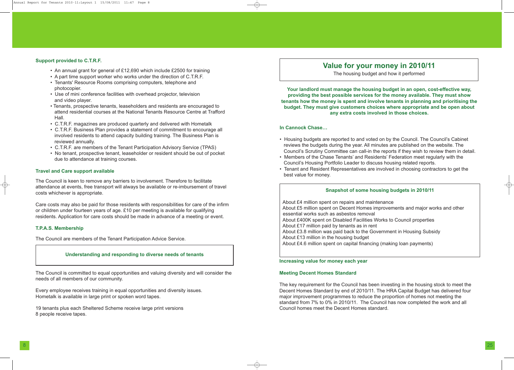## **Support provided to C.T.R.F.**

- An annual grant for general of £12,690 which include £2500 for training
- A part time support worker who works under the direction of C.T.R.F.
- Tenants' Resource Rooms comprising computers, telephone and photocopier.
- Use of mini conference facilities with overhead projector, television and video player.
- Tenants, prospective tenants, leaseholders and residents are encouraged to attend residential courses at the National Tenants Resource Centre at Trafford Hall.
- C.T.R.F. magazines are produced quarterly and delivered with Hometalk
- C.T.R.F. Business Plan provides a statement of commitment to encourage all involved residents to attend capacity building training. The Business Plan is reviewed annually.
- C.T.R.F. are members of the Tenant Participation Advisory Service (TPAS)
- No tenant, prospective tenant, leaseholder or resident should be out of pocket due to attendance at training courses.

# **Travel and Care support available**

The Council is keen to remove any barriers to involvement. Therefore to facilitate attendance at events, free transport will always be available or re-imbursement of travel costs whichever is appropriate.

Care costs may also be paid for those residents with responsibilities for care of the infirm or children under fourteen years of age. £10 per meeting is available for qualifying residents. Application for care costs should be made in advance of a meeting or event.

### **T.P.A.S. Membership**

The Council are members of the Tenant Participation Advice Service.

The Council is committed to equal opportunities and valuing diversity and will consider the needs of all members of our community.

Every employee receives training in equal opportunities and diversity issues. Hometalk is available in large print or spoken word tapes.

19 tenants plus each Sheltered Scheme receive large print versions 8 people receive tapes.

# **Value for your money in 2010/11**

The housing budget and how it performed

**Your landlord must manage the housing budget in an open, cost-effective way, providing the best possible services for the money available. They must show tenants how the money is spent and involve tenants in planning and prioritising the budget. They must give customers choices where appropriate and be open about any extra costs involved in those choices.**

## **In Cannock Chase…**

• Housing budgets are reported to and voted on by the Council. The Council's Cabinet reviews the budgets during the year. All minutes are published on the website. The Council's Scrutiny Committee can call-in the reports if they wish to review them in detail. • Members of the Chase Tenants' and Residents' Federation meet regularly with the

- 
- Council's Housing Portfolio Leader to discuss housing related reports.
- best value for money.

• Tenant and Resident Representatives are involved in choosing contractors to get the

# **Snapshot of some housing budgets in 2010/11**

About £4 million spent on repairs and maintenance About £5 million spent on Decent Homes improvements and major works and other essential works such as asbestos removal About £400K spent on Disabled Facilities Works to Council properties About £17 million paid by tenants as in rent About £3.8 million was paid back to the Government in Housing Subsidy About £13 million in the housing budget About £4.6 million spent on capital financing (making loan payments)

**Increasing value for money each year**

#### **Meeting Decent Homes Standard**

The key requirement for the Council has been investing in the housing stock to meet the Decent Homes Standard by end of 2010/11. The HRA Capital Budget has delivered four major improvement programmes to reduce the proportion of homes not meeting the standard from 7% to 0% in 2010/11. The Council has now completed the work and all Council homes meet the Decent Homes standard.

#### **Understanding and responding to diverse needs of tenants**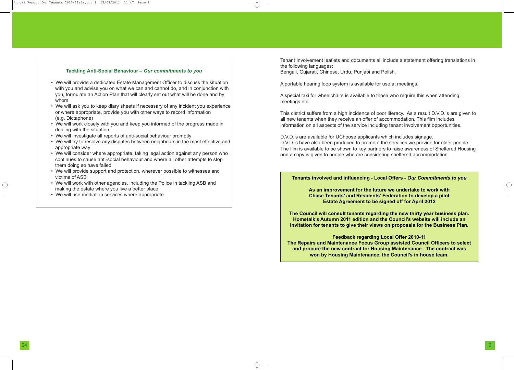Tenant Involvement leaflets and documents all include a statement offering translations in the following languages:

Bengali, Gujarati, Chinese, Urdu, Punjabi and Polish.

A portable hearing loop system is available for use at meetings.

A special taxi for wheelchairs is available to those who require this when attending meetings etc.

This district suffers from a high incidence of poor literacy. As a result D.V.D.'s are given to all new tenants when they receive an offer of accommodation. This film includes information on all aspects of the service including tenant involvement opportunities.

D.V.D.'s are available for UChoose applicants which includes signage. D.V.D.'s have also been produced to promote the services we provide for older people. The film is available to be shown to key partners to raise awareness of Sheltered Housing and a copy is given to people who are considering sheltered accommodation.

## **Tenants involved and influencing - Local Offers -** *Our Commitments to you*

**As an improvement for the future we undertake to work with Chase Tenants' and Residents' Federation to develop a pilot Estate Agreement to be signed off for April 2012**

**The Council will consult tenants regarding the new thirty year business plan. Hometalk's Autumn 2011 edition and the Council's website will include an invitation for tenants to give their views on proposals for the Business Plan.**

**Feedback regarding Local Offer 2010-11 The Repairs and Maintenance Focus Group assisted Council Officers to select and procure the new contract for Housing Maintenance. The contract was won by Housing Maintenance, the Council's in house team.**



- We will provide a dedicated Estate Management Officer to discuss the situation with you and advise you on what we can and cannot do, and in conjunction with you, formulate an Action Plan that will clearly set out what will be done and by whom
- We will ask you to keep diary sheets if necessary of any incident you experience or where appropriate, provide you with other ways to record information (e.g. Dictaphone)
- We will work closely with you and keep you informed of the progress made in dealing with the situation
- We will investigate all reports of anti-social behaviour promptly
- We will try to resolve any disputes between neighbours in the most effective and appropriate way
- We will consider where appropriate, taking legal action against any person who continues to cause anti-social behaviour and where all other attempts to stop them doing so have failed
- We will provide support and protection, wherever possible to witnesses and victims of ASB
- We will work with other agencies, including the Police in tackling ASB and making the estate where you live a better place
- We will use mediation services where appropriate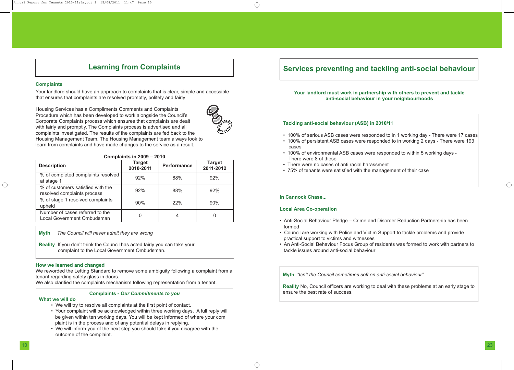#### **Complaints**

Your landlord should have an approach to complaints that is clear, simple and accessible that ensures that complaints are resolved promptly, politely and fairly

Housing Services has a Compliments Comments and Complaints Procedure which has been developed to work alongside the Council's Corporate Complaints process which ensures that complaints are dealt with fairly and promptly. The Complaints process is advertised and all complaints investigated. The results of the complaints are fed back to the Housing Management Team. The Housing Management team always look to learn from complaints and have made changes to the service as a result.

#### **Complaints in 2009 – 2010**

#### **How we learned and changed**

We reworded the Letting Standard to remove some ambiguity following a complaint from a tenant regarding safety glass in doors.

We also clarified the complaints mechanism following representation from a tenant.

# **Learning from Complaints**



| <b>Description</b>                                                   | <b>Target</b><br>2010-2011 | <b>Performance</b> | <b>Target</b><br>2011-2012 |
|----------------------------------------------------------------------|----------------------------|--------------------|----------------------------|
| % of completed complaints resolved<br>at stage 1                     | 92%                        | 88%                | 92%                        |
| % of customers satisfied with the<br>resolved complaints process     | 92%                        | 88%                | 92%                        |
| % of stage 1 resolved complaints<br>upheld                           | 90%                        | 22%                | 90%                        |
| Number of cases referred to the<br><b>Local Government Ombudsman</b> |                            | 4                  |                            |

**Myth** *The Council will never admit they are wrong*

**Reality** If you don't think the Council has acted fairly you can take your complaint to the Local Government Ombudsman.

# **Complaints -** *Our Commitments to you*

#### **What we will do**

- We will try to resolve all complaints at the first point of contact.
- Your complaint will be acknowledged within three working days. A full reply will be given within ten working days. You will be kept informed of where your com plaint is in the process and of any potential delays in replying.
- We will inform you of the next step you should take if you disagree with the outcome of the complaint.

# **Services preventing and tackling anti-social behaviour**

**Your landlord must work in partnership with others to prevent and tackle anti-social behaviour in your neighbourhoods**

# **Tackling anti-social behaviour (ASB) in 2010/11**

• 100% of serious ASB cases were responded to in 1 working day - There were 17 cases • 100% of persistent ASB cases were responded to in working 2 days - There were 193

• 100% of environmental ASB cases were responded to within 5 working days -

- 
- cases
- There were 8 of these
- There were no cases of anti racial harassment
- 75% of tenants were satisfied with the management of their case

# **In Cannock Chase...**

## **Local Area Co-operation**

• Anti-Social Behaviour Pledge – Crime and Disorder Reduction Partnership has been

• Council are working with Police and Victim Support to tackle problems and provide

- formed
- practical support to victims and witnesses
- tackle issues around anti-social behaviour

• An Anti-Social Behaviour Focus Group of residents was formed to work with partners to

**Myth** *"Isn't the Council sometimes soft on anti-social behaviour"*

**Reality** No, Council officers are working to deal with these problems at an early stage to ensure the best rate of success.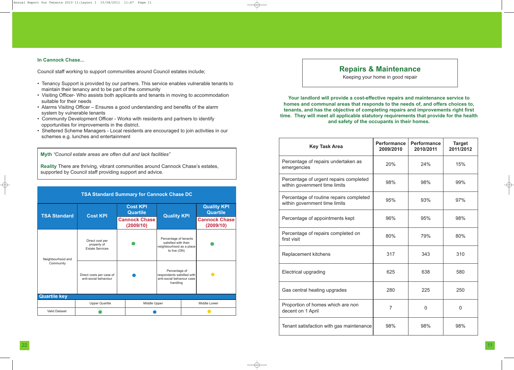# **Repairs & Maintenance**

Keeping your home in good repair

**Your landlord will provide a cost-effective repairs and maintenance service to homes and communal areas that responds to the needs of, and offers choices to, tenants, and has the objective of completing repairs and improvements right first time. They will meet all applicable statutory requirements that provide for the health and safety of the occupants in their homes.**

| <b>Key Task Area</b>                                                     | <b>Performance</b><br>2009/2010 | <b>Performance</b><br>2010/2011 | <b>Target</b><br>2011/2012 |
|--------------------------------------------------------------------------|---------------------------------|---------------------------------|----------------------------|
| Percentage of repairs undertaken as<br>emergencies                       | 20%                             | 24%                             | 15%                        |
| Percentage of urgent repairs completed<br>within government time limits  | 98%                             | 98%                             | 99%                        |
| Percentage of routine repairs completed<br>within government time limits | 95%                             | 93%                             | 97%                        |
| Percentage of appointments kept                                          | 96%                             | 95%                             | 98%                        |
| Percentage of repairs completed on<br>first visit                        | 80%                             | 79%                             | 80%                        |
| <b>Replacement kitchens</b>                                              | 317                             | 343                             | 310                        |
| <b>Electrical upgrading</b>                                              | 625                             | 638                             | 580                        |
| Gas central heating upgrades                                             | 280                             | 225                             | 250                        |
| Proportion of homes which are non<br>decent on 1 April                   | $\overline{7}$                  | $\overline{0}$                  | $\overline{0}$             |
| Tenant satisfaction with gas maintenance                                 | 98%                             | 98%                             | 98%                        |

**Myth** *"Council estate areas are often dull and lack facilities"*

**Reality** There are thriving, vibrant communities around Cannock Chase's estates, supported by Council staff providing support and advice.

| <b>TSA Standard Summary for Cannock Chase DC</b> |                                                          |                                                                                           |                                   |                                                                                      |  |                                       |  |
|--------------------------------------------------|----------------------------------------------------------|-------------------------------------------------------------------------------------------|-----------------------------------|--------------------------------------------------------------------------------------|--|---------------------------------------|--|
| <b>TSA Standard</b>                              | <b>Cost KPI</b>                                          | <b>Cost KPI</b><br><b>Quartile</b>                                                        |                                   | <b>Quality KPI</b>                                                                   |  | <b>Quality KPI</b><br><b>Quartile</b> |  |
|                                                  |                                                          |                                                                                           | <b>Cannock Chase</b><br>(2009/10) |                                                                                      |  | <b>Cannock Chase</b><br>(2009/10)     |  |
| Neighbourhood and                                | Direct cost per<br>property of<br><b>Estate Services</b> | Percentage of tenants<br>satisfied with their<br>neighbourhood as a place<br>to live (GN) |                                   |                                                                                      |  |                                       |  |
| Community                                        | Direct costs per case of<br>anti-social behaviour        |                                                                                           |                                   | Percentage of<br>respondents satisfied with<br>anti-social behavour case<br>handling |  |                                       |  |
| <b>Quartile key</b>                              |                                                          |                                                                                           |                                   |                                                                                      |  |                                       |  |
|                                                  | <b>Upper Quartile</b>                                    |                                                                                           |                                   | Middle Upper                                                                         |  | Middle Lower                          |  |
| <b>Valid Dataset</b>                             |                                                          |                                                                                           |                                   |                                                                                      |  |                                       |  |

# **In Cannock Chase...**

Council staff working to support communities around Council estates include;

- Tenancy Support is provided by our partners. This service enables vulnerable tenants to maintain their tenancy and to be part of the community
- Visiting Officer- Who assists both applicants and tenants in moving to accommodation suitable for their needs
- Alarms Visiting Officer Ensures a good understanding and benefits of the alarm system by vulnerable tenants
- Community Development Officer Works with residents and partners to identify opportunities for improvements in the district.
- Sheltered Scheme Managers Local residents are encouraged to join activities in our schemes e.g. lunches and entertainment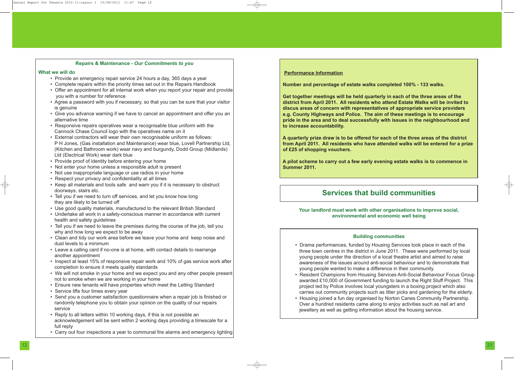# **Repairs & Maintenance -** *Our Commitments to you*

#### **What we will do**

- Provide an emergency repair service 24 hours a day, 365 days a year
- Complete repairs within the priority times set out in the Repairs Handbook
- Offer an appointment for all internal work when you report your repair and provide you with a number for reference
- Agree a password with you if necessary, so that you can be sure that your visitor is genuine
- Give you advance warning if we have to cancel an appointment and offer you an alternative time
- Responsive repairs operatives wear a recognisable blue uniform with the Cannock Chase Council logo with the operatives name on it
- External contractors will wear their own recognisable uniform as follows: P H Jones, (Gas installation and Maintenance) wear blue, Lovell Partnership Ltd, (Kitchen and Bathroom work) wear navy and burgundy, Dodd Group (Midlands) Ltd (Electrical Work) wear dark blue
- Provide proof of identity before entering your home
- Not enter your home unless a responsible adult is present
- Not use inappropriate language or use radios in your home
- Respect your privacy and confidentiality at all times
- Keep all materials and tools safe and warn you if it is necessary to obstruct doorways, stairs etc.
- Tell you if we need to turn off services, and let you know how long they are likely to be turned off
- Use good quality materials, manufactured to the relevant British Standard
- Undertake all work in a safety-conscious manner in accordance with current health and safety guidelines
- Tell you if we need to leave the premises during the course of the job, tell you why and how long we expect to be away
- Clean and tidy our work area before we leave your home and keep noise and dust levels to a minimum
- Leave a calling card if no-one is at home, with contact details to rearrange another appointment
- Inspect at least 15% of responsive repair work and 10% of gas service work after completion to ensure it meets quality standards
- We will not smoke in your home and we expect you and any other people present not to smoke when we are working in your home
- Ensure new tenants will have properties which meet the Letting Standard
- Service lifts four times every year
- Send you a customer satisfaction questionnaire when a repair job is finished or randomly telephone you to obtain your opinion on the quality of our repairs service
- Reply to all letters within 10 working days, if this is not possible an acknowledgement will be sent within 2 working days providing a timescale for a full reply
- Carry out four inspections a year to communal fire alarms and emergency lighting

# **Services that build communities**

**Your landlord must work with other organisations to improve social, environmental and economic well being**

# **Building communities**

- 
- 
- 

• Drama performances, funded by Housing Services took place in each of the three town centres in the district in June 2011. These were performed by local young people under the direction of a local theatre artist and aimed to raise awareness of the issues around anti-social behaviour and to demonstrate that young people wanted to make a difference in their community.

• Resident Champions from Housing Services Anti-Social Behaviour Focus Group awarded £10,000 of Government funding to launch the Right Stuff Project. This project led by Police involves local youngsters in a boxing project which also carries out community projects such as litter picks and gardening for the elderly. • Housing joined a fun day organised by Norton Canes Community Partnership. Over a hundred residents came along to enjoy activities such as nail art and jewellery as well as getting information about the housing service.

# **Performance Information**

**Number and percentage of estate walks completed 100% - 133 walks.**

**Get together meetings will be held quarterly in each of the three areas of the district from April 2011. All residents who attend Estate Walks will be invited to discus areas of concern with representatives of appropriate service providers e.g. County Highways and Police. The aim of these meetings is to encourage pride in the area and to deal successfully with issues in the neighbourhood and to increase accountability.**

**A quarterly prize draw is to be offered for each of the three areas of the district from April 2011. All residents who have attended walks will be entered for a prize of £25 of shopping vouchers.**

**A pilot scheme to carry out a few early evening estate walks is to commence in Summer 2011.**

Annual Report for Tenants 2010-11:Layout 1 15/08/2011 11:47 Page 12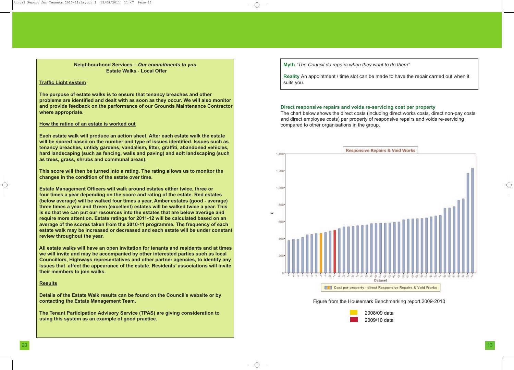# **Direct responsive repairs and voids re-servicing cost per property**

The chart below shows the direct costs (including direct works costs, direct non-pay costs and direct employee costs) per property of responsive repairs and voids re-servicing compared to other organisations in the group.





2008/09 data 2009/10 data

**Neighbourhood Services –** *Our commitments to you* **Estate Walks** - **Local Offer**

#### **Traffic Light system**

**The purpose of estate walks is to ensure that tenancy breaches and other problems are identified and dealt with as soon as they occur. We will also monitor and provide feedback on the performance of our Grounds Maintenance Contractor where appropriate.**

#### **How the rating of an estate is worked out**

**Each estate walk will produce an action sheet. After each estate walk the estate will be scored based on the number and type of issues identified. Issues such as tenancy breaches, untidy gardens, vandalism, litter, graffiti, abandoned vehicles, hard landscaping (such as fencing, walls and paving) and soft landscaping (such as trees, grass, shrubs and communal areas).**

**This score will then be turned into a rating. The rating allows us to monitor the changes in the condition of the estate over time.**

**Estate Management Officers will walk around estates either twice, three or four times a year depending on the score and rating of the estate. Red estates (below average) will be walked four times a year, Amber estates (good - average) three times a year and Green (excellent) estates will be walked twice a year. This is so that we can put our resources into the estates that are below average and require more attention. Estate ratings for 2011-12 will be calculated based on an average of the scores taken from the 2010-11 programme. The frequency of each estate walk may be increased or decreased and each estate will be under constant review throughout the year.**

**All estate walks will have an open invitation for tenants and residents and at times we will invite and may be accompanied by other interested parties such as local Councillors, Highways representatives and other partner agencies, to identify any issues that affect the appearance of the estate. Residents' associations will invite their members to join walks.**

#### **Results**

**Details of the Estate Walk results can be found on the Council's website or by contacting the Estate Management Team.**

**The Tenant Participation Advisory Service (TPAS) are giving consideration to using this system as an example of good practice.**

**Myth** *"The Council do repairs when they want to do them"*

**Reality** An appointment / time slot can be made to have the repair carried out when it suits you.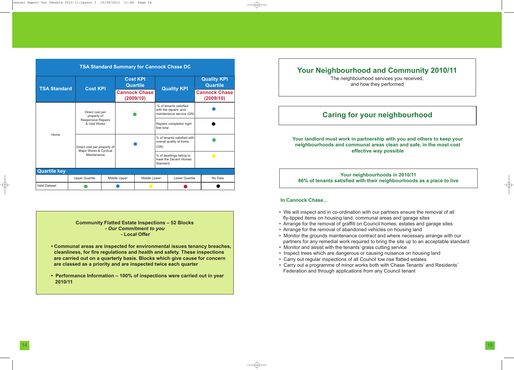**Community Flatted Estate Inspections – 52 Blocks -** *Our Commitment to you* **- Local Offer**

- **• Communal areas are inspected for environmental issues tenancy breaches, cleanliness, for fire regulations and health and safety. These inspections are carried out on a quarterly basis. Blocks which give cause for concern are classed as a priority and are inspected twice each quarter**
- **• Performance Information – 100% of inspections were carried out in year 2010/11**

# **Your Neighbourhood and Community 2010/11**

The neighbourhood services you received, and how they performed

# **Caring for your neighbourhood**

**Your landlord must work in partnership with you and others to keep your neighbourhoods and communal areas clean and safe, in the most cost effective way possible**

**Your neighbourhoods in 2010/11 86% of tenants satisfied with their neighbourhoods as a place to live**

# **In Cannock Chase...**

| <b>TSA Standard Summary for Cannock Chase DC</b> |  |                                                                      |  |                                         |                                   |                                                                |                                                        |                                       |                                                                            |  |
|--------------------------------------------------|--|----------------------------------------------------------------------|--|-----------------------------------------|-----------------------------------|----------------------------------------------------------------|--------------------------------------------------------|---------------------------------------|----------------------------------------------------------------------------|--|
| <b>TSA Standard</b>                              |  | <b>Cost KPI</b>                                                      |  | <b>Cost KPI</b><br><b>Quartile</b>      |                                   | <b>Quality KPI</b>                                             |                                                        | <b>Quality KPI</b><br><b>Quartile</b> |                                                                            |  |
|                                                  |  |                                                                      |  |                                         | <b>Cannock Chase</b><br>(2009/10) |                                                                |                                                        | <b>Cannock Chase</b><br>(2009/10)     |                                                                            |  |
|                                                  |  | Direct cost per<br>property of                                       |  |                                         |                                   |                                                                |                                                        |                                       | % of tenants satisfied<br>with the repairs and<br>maintenance service (GN) |  |
|                                                  |  | <b>Responsive Repairs</b><br>& Void Works                            |  | Repairs completed 'right<br>first time' |                                   |                                                                |                                                        |                                       |                                                                            |  |
| Home                                             |  | Direct cost per property of<br>Major Works & Cyclical<br>Maintenance |  |                                         |                                   | (GN)                                                           | % of tenants satisfied with<br>overall quality of home |                                       |                                                                            |  |
|                                                  |  |                                                                      |  |                                         |                                   | % of dwellings failing to<br>meet the Decent Homes<br>Standard |                                                        |                                       |                                                                            |  |
| <b>Quartile key</b>                              |  |                                                                      |  |                                         |                                   |                                                                |                                                        |                                       |                                                                            |  |
|                                                  |  | <b>Upper Quartile</b>                                                |  | Middle Lower<br>Middle Upper            |                                   |                                                                | <b>Lower Quartile</b>                                  | No Data                               |                                                                            |  |
| <b>Valid Dataset</b>                             |  |                                                                      |  |                                         |                                   |                                                                |                                                        |                                       |                                                                            |  |

- We will inspect and in co-ordination with our partners ensure the removal of all fly-tipped items on housing land, communal areas and garage sites
- Arrange for the removal of graffiti on Council homes, estates and garage sites
- Arrange for the removal of abandoned vehicles on housing land
- Monitor the grounds maintenance contract and where necessary arrange with our partners for any remedial work required to bring the site up to an acceptable standard
- Monitor and assist with the tenants' grass cutting service
- Inspect trees which are dangerous or causing nuisance on housing land
- Carry out regular inspections of all Council low rise flatted estates
- Carry out a programme of minor works both with Chase Tenants' and Residents' Federation and through applications from any Council tenant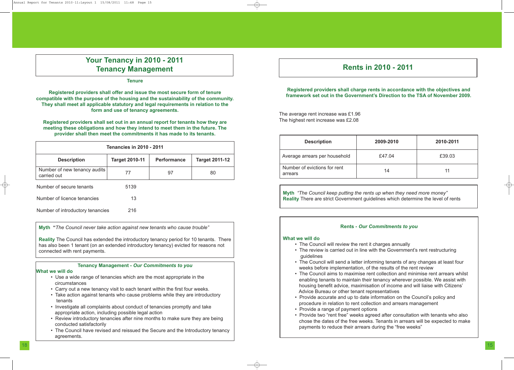# **Rents in 2010 - 2011**

**Registered providers shall charge rents in accordance with the objectives and framework set out in the Government's Direction to the TSA of November 2009.**

The average rent increase was £1.96 The highest rent increase was £2.08

| <b>Description</b>                      | 2009-2010 | 2010-2011 |
|-----------------------------------------|-----------|-----------|
| Average arrears per household           | £47.04    | £39.03    |
| Number of evictions for rent<br>arrears | 14        | 11        |

**Myth** *"The Council keep putting the rents up when they need more money"* **Reality** There are strict Government guidelines which determine the level of rents

# **Rents -** *Our Commitments to you*

#### **What we will do**

- The Council will review the rent it charges annually
- The review is carried out in line with the Government's rent restructuring guidelines
- The Council will send a letter informing tenants of any changes at least four weeks before implementation, of the results of the rent review
- The Council aims to maximise rent collection and minimise rent arrears whilst enabling tenants to maintain their tenancy wherever possible. We assist with housing benefit advice, maximisation of income and will liaise with Citizens' Advice Bureau or other tenant representatives
- Provide accurate and up to date information on the Council's policy and procedure in relation to rent collection and arrears management • Provide a range of payment options
- 
- Provide two "rent free" weeks agreed after consultation with tenants who also chose the dates of the free weeks. Tenants in arrears will be expected to make payments to reduce their arrears during the "free weeks"

# **Your Tenancy in 2010 - 2011 Tenancy Management**

**Tenure**

**Registered providers shall offer and issue the most secure form of tenure compatible with the purpose of the housing and the sustainability of the community. They shall meet all applicable statutory and legal requirements in relation to the form and use of tenancy agreements.**

**Registered providers shall set out in an annual report for tenants how they are meeting these obligations and how they intend to meet them in the future. The provider shall then meet the commitments it has made to its tenants.**

**Myth "***The Council never take action against new tenants who cause trouble"*

**Reality** The Council has extended the introductory tenancy period for 10 tenants. There has also been 1 tenant (on an extended introductory tenancy) evicted for reasons not connected with rent payments.

# **Tenancy Management -** *Our Commitments to you*

#### **What we will do**

| <b>Tenancies in 2010 - 2011</b>             |                       |                    |                       |  |  |  |  |
|---------------------------------------------|-----------------------|--------------------|-----------------------|--|--|--|--|
| <b>Description</b>                          | <b>Target 2010-11</b> | <b>Performance</b> | <b>Target 2011-12</b> |  |  |  |  |
| Number of new tenancy audits<br>carried out | 77                    | 97                 | 80                    |  |  |  |  |
| Number of secure tenants                    | 5139                  |                    |                       |  |  |  |  |
| Number of licence tenancies                 | 13                    |                    |                       |  |  |  |  |
| Number of introductory tenancies            | 216                   |                    |                       |  |  |  |  |

- Use a wide range of tenancies which are the most appropriate in the circumstances
- Carry out a new tenancy visit to each tenant within the first four weeks.
- Take action against tenants who cause problems while they are introductory tenants
- Investigate all complaints about conduct of tenancies promptly and take appropriate action, including possible legal action
- Review introductory tenancies after nine months to make sure they are being conducted satisfactorily
- The Council have revised and reissued the Secure and the Introductory tenancy agreements.